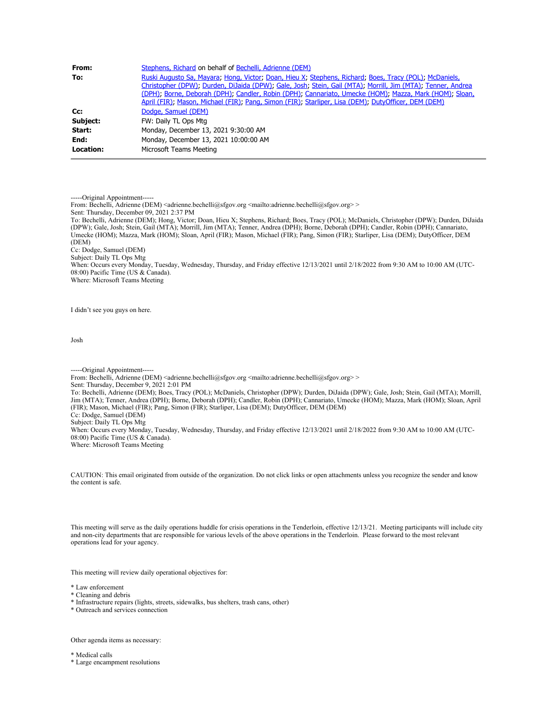| From:            | Stephens, Richard on behalf of Bechelli, Adrienne (DEM)                                                                                                                                                                                                                                                                                                                                                                                |
|------------------|----------------------------------------------------------------------------------------------------------------------------------------------------------------------------------------------------------------------------------------------------------------------------------------------------------------------------------------------------------------------------------------------------------------------------------------|
| To:              | Ruski Augusto Sa, Mayara, Hong, Victor, Doan, Hieu X, Stephens, Richard, Boes, Tracy (POL), McDaniels,<br>Christopher (DPW); Durden, DiJaida (DPW); Gale, Josh; Stein, Gail (MTA); Morrill, Jim (MTA); Tenner, Andrea<br>(DPH); Borne, Deborah (DPH); Candler, Robin (DPH); Cannariato, Umecke (HOM); Mazza, Mark (HOM); Sloan,<br>April (FIR); Mason, Michael (FIR); Pang, Simon (FIR); Starliper, Lisa (DEM); DutyOfficer, DEM (DEM) |
| Cc:              | Dodge, Samuel (DEM)                                                                                                                                                                                                                                                                                                                                                                                                                    |
| Subject:         | FW: Daily TL Ops Mtg                                                                                                                                                                                                                                                                                                                                                                                                                   |
| Start:           | Monday, December 13, 2021 9:30:00 AM                                                                                                                                                                                                                                                                                                                                                                                                   |
| End:             | Monday, December 13, 2021 10:00:00 AM                                                                                                                                                                                                                                                                                                                                                                                                  |
| <b>Location:</b> | Microsoft Teams Meeting                                                                                                                                                                                                                                                                                                                                                                                                                |

-----Original Appointment-----

From: Bechelli, Adrienne (DEM) <adrienne.bechelli@sfgov.org <mailto:adrienne.bechelli@sfgov.org>>

Sent: Thursday, December 09, 2021 2:37 PM

To: Bechelli, Adrienne (DEM); Hong, Victor; Doan, Hieu X; Stephens, Richard; Boes, Tracy (POL); McDaniels, Christopher (DPW); Durden, DiJaida (DPW); Gale, Josh; Stein, Gail (MTA); Morrill, Jim (MTA); Tenner, Andrea (DPH); Borne, Deborah (DPH); Candler, Robin (DPH); Cannariato, Umecke (HOM); Mazza, Mark (HOM); Sloan, April (FIR); Mason, Michael (FIR); Pang, Simon (FIR); Starliper, Lisa (DEM); DutyOfficer, DEM (DEM)

Cc: Dodge, Samuel (DEM)

Subject: Daily TL Ops Mtg

When: Occurs every Monday, Tuesday, Wednesday, Thursday, and Friday effective 12/13/2021 until 2/18/2022 from 9:30 AM to 10:00 AM (UTC-08:00) Pacific Time (US & Canada). Where: Microsoft Teams Meeting

I didn't see you guys on here.

Josh

-----Original Appointment----- From: Bechelli, Adrienne (DEM) <adrienne.bechelli@sfgov.org <mailto:adrienne.bechelli@sfgov.org>>

Sent: Thursday, December 9, 2021 2:01 PM

To: Bechelli, Adrienne (DEM); Boes, Tracy (POL); McDaniels, Christopher (DPW); Durden, DiJaida (DPW); Gale, Josh; Stein, Gail (MTA); Morrill, Jim (MTA); Tenner, Andrea (DPH); Borne, Deborah (DPH); Candler, Robin (DPH); Cannariato, Umecke (HOM); Mazza, Mark (HOM); Sloan, April (FIR); Mason, Michael (FIR); Pang, Simon (FIR); Starliper, Lisa (DEM); DutyOfficer, DEM (DEM) Cc: Dodge, Samuel (DEM) Subject: Daily TL Ops Mtg

When: Occurs every Monday, Tuesday, Wednesday, Thursday, and Friday effective 12/13/2021 until 2/18/2022 from 9:30 AM to 10:00 AM (UTC-08:00) Pacific Time (US & Canada). Where: Microsoft Teams Meeting

CAUTION: This email originated from outside of the organization. Do not click links or open attachments unless you recognize the sender and know the content is safe.

This meeting will serve as the daily operations huddle for crisis operations in the Tenderloin, effective 12/13/21. Meeting participants will include city and non-city departments that are responsible for various levels of the above operations in the Tenderloin. Please forward to the most relevant operations lead for your agency.

This meeting will review daily operational objectives for:

\* Law enforcement

\* Cleaning and debris

\* Infrastructure repairs (lights, streets, sidewalks, bus shelters, trash cans, other)

\* Outreach and services connection

Other agenda items as necessary:

\* Medical calls

\* Large encampment resolutions